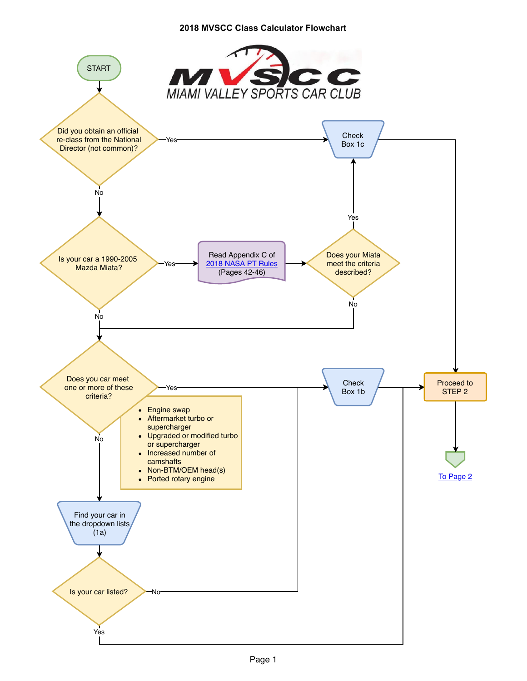## **2018 MVSCC Class Calculator Flowchart**